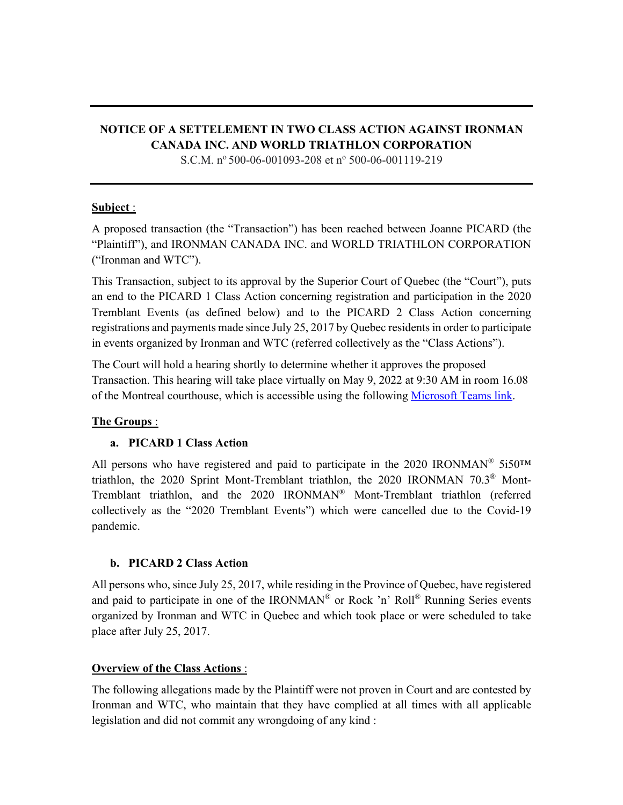# **NOTICE OF A SETTELEMENT IN TWO CLASS ACTION AGAINST IRONMAN CANADA INC. AND WORLD TRIATHLON CORPORATION**

S.C.M.  $n^{\circ}$  500-06-001093-208 et  $n^{\circ}$  500-06-001119-219

## **Subject** :

A proposed transaction (the "Transaction") has been reached between Joanne PICARD (the "Plaintiff"), and IRONMAN CANADA INC. and WORLD TRIATHLON CORPORATION ("Ironman and WTC").

This Transaction, subject to its approval by the Superior Court of Quebec (the "Court"), puts an end to the PICARD 1 Class Action concerning registration and participation in the 2020 Tremblant Events (as defined below) and to the PICARD 2 Class Action concerning registrations and payments made since July 25, 2017 by Quebec residents in order to participate in events organized by Ironman and WTC (referred collectively as the "Class Actions").

The Court will hold a hearing shortly to determine whether it approves the proposed Transaction. This hearing will take place virtually on May 9, 2022 at 9:30 AM in room 16.08 of the Montreal courthouse, which is accessible using the following Microsoft Teams link.

# **The Groups** :

## **a. PICARD 1 Class Action**

All persons who have registered and paid to participate in the 2020 IRONMAN<sup>®</sup> 5i50<sup>TM</sup> triathlon, the 2020 Sprint Mont-Tremblant triathlon, the 2020 IRONMAN 70.3® Mont-Tremblant triathlon, and the 2020 IRONMAN® Mont-Tremblant triathlon (referred collectively as the "2020 Tremblant Events") which were cancelled due to the Covid-19 pandemic.

## **b. PICARD 2 Class Action**

All persons who, since July 25, 2017, while residing in the Province of Quebec, have registered and paid to participate in one of the IRONMAN<sup>®</sup> or Rock 'n' Roll<sup>®</sup> Running Series events organized by Ironman and WTC in Quebec and which took place or were scheduled to take place after July 25, 2017.

# **Overview of the Class Actions** :

The following allegations made by the Plaintiff were not proven in Court and are contested by Ironman and WTC, who maintain that they have complied at all times with all applicable legislation and did not commit any wrongdoing of any kind :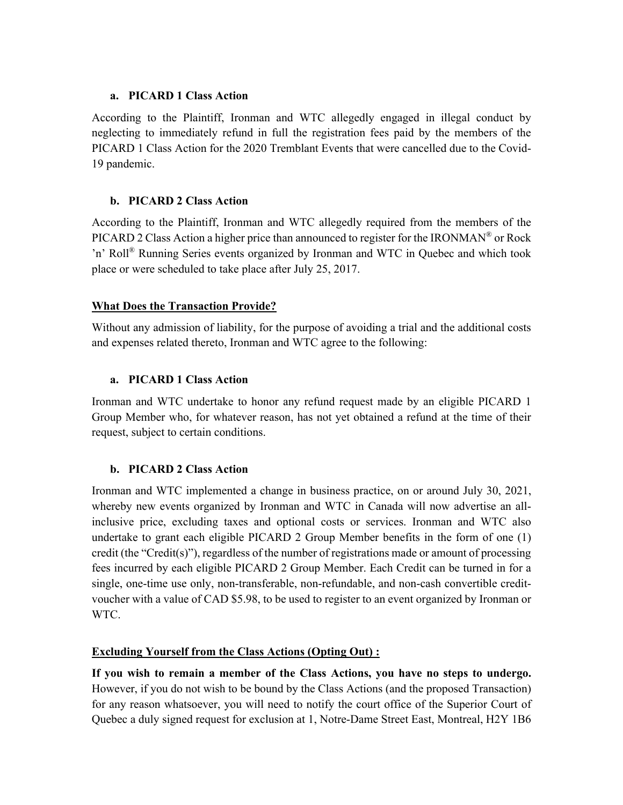#### **a. PICARD 1 Class Action**

According to the Plaintiff, Ironman and WTC allegedly engaged in illegal conduct by neglecting to immediately refund in full the registration fees paid by the members of the PICARD 1 Class Action for the 2020 Tremblant Events that were cancelled due to the Covid-19 pandemic.

## **b. PICARD 2 Class Action**

According to the Plaintiff, Ironman and WTC allegedly required from the members of the PICARD 2 Class Action a higher price than announced to register for the IRONMAN<sup>®</sup> or Rock 'n' Roll® Running Series events organized by Ironman and WTC in Quebec and which took place or were scheduled to take place after July 25, 2017.

## **What Does the Transaction Provide?**

Without any admission of liability, for the purpose of avoiding a trial and the additional costs and expenses related thereto, Ironman and WTC agree to the following:

## **a. PICARD 1 Class Action**

Ironman and WTC undertake to honor any refund request made by an eligible PICARD 1 Group Member who, for whatever reason, has not yet obtained a refund at the time of their request, subject to certain conditions.

# **b. PICARD 2 Class Action**

Ironman and WTC implemented a change in business practice, on or around July 30, 2021, whereby new events organized by Ironman and WTC in Canada will now advertise an allinclusive price, excluding taxes and optional costs or services. Ironman and WTC also undertake to grant each eligible PICARD 2 Group Member benefits in the form of one (1) credit (the "Credit(s)"), regardless of the number of registrations made or amount of processing fees incurred by each eligible PICARD 2 Group Member. Each Credit can be turned in for a single, one-time use only, non-transferable, non-refundable, and non-cash convertible creditvoucher with a value of CAD \$5.98, to be used to register to an event organized by Ironman or WTC.

# **Excluding Yourself from the Class Actions (Opting Out) :**

**If you wish to remain a member of the Class Actions, you have no steps to undergo.** However, if you do not wish to be bound by the Class Actions (and the proposed Transaction) for any reason whatsoever, you will need to notify the court office of the Superior Court of Quebec a duly signed request for exclusion at 1, Notre-Dame Street East, Montreal, H2Y 1B6